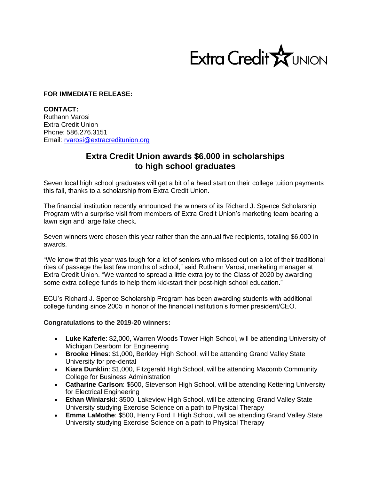

## **FOR IMMEDIATE RELEASE:**

**CONTACT:** Ruthann Varosi Extra Credit Union Phone: 586.276.3151 Email: [rvarosi@extracreditunion.org](mailto:rvarosi@extracreditunion.org)

## **Extra Credit Union awards \$6,000 in scholarships to high school graduates**

Seven local high school graduates will get a bit of a head start on their college tuition payments this fall, thanks to a scholarship from Extra Credit Union.

The financial institution recently announced the winners of its Richard J. Spence Scholarship Program with a surprise visit from members of Extra Credit Union's marketing team bearing a lawn sign and large fake check.

Seven winners were chosen this year rather than the annual five recipients, totaling \$6,000 in awards.

"We know that this year was tough for a lot of seniors who missed out on a lot of their traditional rites of passage the last few months of school," said Ruthann Varosi, marketing manager at Extra Credit Union. "We wanted to spread a little extra joy to the Class of 2020 by awarding some extra college funds to help them kickstart their post-high school education."

ECU's Richard J. Spence Scholarship Program has been awarding students with additional college funding since 2005 in honor of the financial institution's former president/CEO.

**Congratulations to the 2019-20 winners:**

- **Luke Kaferle**: \$2,000, Warren Woods Tower High School, will be attending University of Michigan Dearborn for Engineering
- **Brooke Hines**: \$1,000, Berkley High School, will be attending Grand Valley State University for pre-dental
- **Kiara Dunklin**: \$1,000, Fitzgerald High School, will be attending Macomb Community College for Business Administration
- **Catharine Carlson**: \$500, Stevenson High School, will be attending Kettering University for Electrical Engineering
- **Ethan Winiarski**: \$500, Lakeview High School, will be attending Grand Valley State University studying Exercise Science on a path to Physical Therapy
- **Emma LaMothe**: \$500, Henry Ford II High School, will be attending Grand Valley State University studying Exercise Science on a path to Physical Therapy